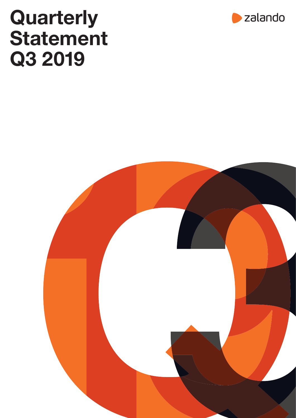# **Quarterly** Statement Q3 2019



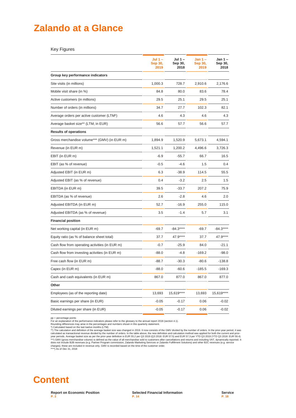# **Zalando at a Glance**

Key Figures

|                                                | Jul $1 -$<br>Sep 30,<br>2019 | Jul 1-<br>Sep 30,<br>2018 | <b>Jan 1 –</b><br>Sep 30,<br>2019 | Jan $1-$<br>Sep 30,<br>2018 |
|------------------------------------------------|------------------------------|---------------------------|-----------------------------------|-----------------------------|
| Group key performance indicators               |                              |                           |                                   |                             |
| Site visits (in millions)                      | 1,000.3                      | 728.7                     | 2,910.6                           | 2,176.6                     |
| Mobile visit share (in %)                      | 84.8                         | 80.0                      | 83.6                              | 78.4                        |
| Active customers (in millions)                 | 29.5                         | 25.1                      | 29.5                              | 25.1                        |
| Number of orders (in millions)                 | 34.7                         | 27.7                      | 102.3                             | 82.1                        |
| Average orders per active customer (LTM*)      | 4.6                          | 4.3                       | 4.6                               | 4.3                         |
| Average basket size** (LTM, in EUR)            | 56.6                         | 57.7                      | 56.6                              | 57.7                        |
| <b>Results of operations</b>                   |                              |                           |                                   |                             |
| Gross merchandise volume*** (GMV) (in EUR m)   | 1,894.9                      | 1,520.9                   | 5,673.1                           | 4,594.1                     |
| Revenue (in EUR m)                             | 1,521.1                      | 1,200.2                   | 4,496.6                           | 3,726.3                     |
| EBIT (in EUR m)                                | $-6.9$                       | $-55.7$                   | 66.7                              | 16.5                        |
| EBIT (as % of revenue)                         | $-0.5$                       | $-4.6$                    | 1.5                               | 0.4                         |
| Adjusted EBIT (in EUR m)                       | 6.3                          | $-38.9$                   | 114.5                             | 55.5                        |
| Adjusted EBIT (as % of revenue)                | 0.4                          | $-3.2$                    | 2.5                               | 1.5                         |
| EBITDA (in EUR m)                              | 39.5                         | $-33.7$                   | 207.2                             | 75.9                        |
| EBITDA (as % of revenue)                       | 2.6                          | $-2.8$                    | 4.6                               | 2.0                         |
| Adjusted EBITDA (in EUR m)                     | 52.7                         | $-16.9$                   | 255.0                             | 115.0                       |
| Adjusted EBITDA (as % of revenue)              | 3.5                          | $-1.4$                    | 5.7                               | 3.1                         |
| <b>Financial position</b>                      |                              |                           |                                   |                             |
| Net working capital (in EUR m)                 | $-69.7$                      | $-84.3***$                | $-69.7$                           | $-84.3***$                  |
| Equity ratio (as % of balance sheet total)     | 37.7                         | 47.9****                  | 37.7                              | 47.9****                    |
| Cash flow from operating activities (in EUR m) | $-0.7$                       | $-25.9$                   | 84.0                              | $-21.1$                     |
| Cash flow from investing activities (in EUR m) | $-88.0$                      | $-4.8$                    | $-169.2$                          | $-98.0$                     |
| Free cash flow (in EUR m)                      | $-88.7$                      | $-30.3$                   | $-80.6$                           | $-138.8$                    |
| Capex (in EUR m)                               | $-88.0$                      | $-60.6$                   | $-185.5$                          | $-169.3$                    |
| Cash and cash equivalents (in EUR m)           | 867.0                        | 877.0                     | 867.0                             | 877.0                       |
| Other                                          |                              |                           |                                   |                             |
| Employees (as of the reporting date)           | 13,693                       | 15,619****                | 13,693                            | 15,619****                  |
| Basic earnings per share (in EUR)              | $-0.05$                      | $-0.17$                   | 0.06                              | $-0.02$                     |
| Diluted earnings per share (in EUR)            | $-0.05$                      | $-0.17$                   | 0.06                              | $-0.02$                     |
|                                                |                              |                           |                                   |                             |

pp = percentage points<br>For an explanation of the performance indicators please refer to the glossary to the annual report 2018 (section 4.1).<br>Pouchaded based on the last twelve months shown in this quarterly statement.<br>P)





**Report on Economic Position P. 2**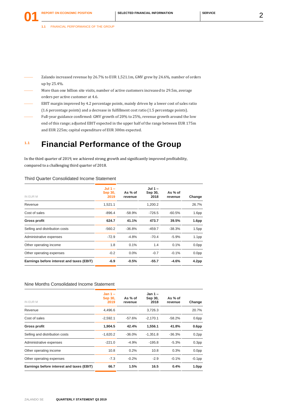**01**

- Zalando increased revenue by 26.7% to EUR 1,521.1m, GMV grew by 24.6%, number of orders up by 25.4%.
- More than one billion site visits, number of active customers increased to 29.5m, average orders per active customer at 4.6.
- EBIT margin improved by 4.2 percentage points, mainly driven by a lower cost of sales ratio (1.6 percentage points) and a decrease in fulfillment cost ratio (1.5 percentage points).
- Full-year guidance confirmed: GMV growth of 20% to 25%, revenue growth around the low end of this range; adjusted EBIT expected in the upper half of the range between EUR 175m and EUR 225m; capital expenditure of EUR 300m expected.

### **1.1 Financial Performance of the Group**

In the third quarter of 2019, we achieved strong growth and significantly improved profitability, compared to a challenging third quarter of 2018.

### Third Quarter Consolidated Income Statement

| IN EUR M                                  | Jul $1 -$<br><b>Sep 30.</b><br>2019 | As % of<br>revenue | Jul 1 $-$<br>Sep 30,<br>2018 | As % of<br>revenue | Change            |
|-------------------------------------------|-------------------------------------|--------------------|------------------------------|--------------------|-------------------|
| Revenue                                   | 1,521.1                             |                    | 1.200.2                      |                    | 26.7%             |
| Cost of sales                             | $-896.4$                            | $-58.9%$           | $-726.5$                     | $-60.5%$           | 1.6 <sub>pp</sub> |
| <b>Gross profit</b>                       | 624.7                               | 41.1%              | 473.7                        | 39.5%              | 1.6 <sub>pp</sub> |
| Selling and distribution costs            | $-560.2$                            | $-36.8%$           | $-459.7$                     | $-38.3%$           | 1.5 <sub>pp</sub> |
| Administrative expenses                   | $-72.9$                             | $-4.8%$            | $-70.4$                      | $-5.9%$            | 1.1 <sub>pp</sub> |
| Other operating income                    | 1.8                                 | 0.1%               | 1.4                          | 0.1%               | 0.0 <sub>pp</sub> |
| Other operating expenses                  | $-0.2$                              | 0.0%               | $-0.7$                       | $-0.1%$            | 0.0 <sub>pp</sub> |
| Earnings before interest and taxes (EBIT) | -6.9                                | $-0.5%$            | $-55.7$                      | $-4.6%$            | 4.2 <sub>pp</sub> |

### Nine Months Consolidated Income Statement

| IN EUR M                                  | Jan $1 -$<br><b>Sep 30.</b><br>2019 | As % of<br>revenue | Jan $1 -$<br>Sep 30,<br>2018 | As $%$ of<br>revenue | Change            |
|-------------------------------------------|-------------------------------------|--------------------|------------------------------|----------------------|-------------------|
| Revenue                                   | 4,496.6                             |                    | 3,726.3                      |                      | 20.7%             |
| Cost of sales                             | $-2,592.1$                          | $-57.6%$           | $-2,170.1$                   | $-58.2%$             | 0.6 <sub>pp</sub> |
| Gross profit                              | 1,904.5                             | 42.4%              | 1,556.1                      | 41.8%                | 0.6 <sub>pp</sub> |
| Selling and distribution costs            | $-1,620.2$                          | $-36.0%$           | $-1,351.8$                   | $-36.3%$             | 0.2 <sub>pp</sub> |
| Administrative expenses                   | $-221.0$                            | $-4.9%$            | $-195.8$                     | $-5.3%$              | 0.3 <sub>pp</sub> |
| Other operating income                    | 10.8                                | 0.2%               | 10.8                         | 0.3%                 | 0.0 <sub>pp</sub> |
| Other operating expenses                  | $-7.3$                              | $-0.2%$            | $-2.9$                       | $-0.1%$              | $-0.1$ pp         |
| Earnings before interest and taxes (EBIT) | 66.7                                | 1.5%               | 16.5                         | 0.4%                 | 1.0 <sub>pp</sub> |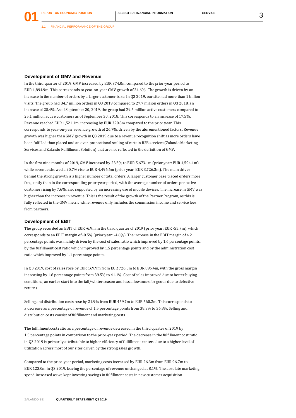**01**

**1.1** FINANCIAL PERFORMANCE OF THE GROUP

#### **Development of GMV and Revenue**

In the third quarter of 2019, GMV increased by EUR 374.0m compared to the prior-year period to EUR 1,894.9m. This corresponds to year-on-year GMV growth of 24.6%. The growth is driven by an increase in the number of orders by a larger customer base. In Q3 2019, our site had more than 1 billion visits. The group had 34.7 million orders in Q3 2019 compared to 27.7 million orders in Q3 2018, an increase of 25.4%. As of September 30, 2019, the group had 29.5 million active customers compared to 25.1 million active customers as of September 30, 2018. This corresponds to an increase of 17.5%. Revenue reached EUR 1,521.1m, increasing by EUR 320.8m compared to the prior year. This corresponds to year-on-year revenue growth of 26.7%, driven by the aforementioned factors. Revenue growth was higher than GMV growth in Q3 2019 due to a revenue recognition shift as more orders have been fulfilled than placed and an over-proportional scaling of certain B2B services (Zalando Marketing Services and Zalando Fulfillment Solution) that are not reflected in the definition of GMV.

In the first nine months of 2019, GMV increased by 23.5% to EUR 5,673.1m (prior year: EUR 4,594.1m) while revenue showed a 20.7% rise to EUR 4,496.6m (prior year: EUR 3,726.3m). The main driver behind the strong growth is a higher number of total orders. A larger customer base placed orders more frequently than in the corresponding prior-year period, with the average number of orders per active customer rising by 7.6%, also supported by an increasing use of mobile devices. The increase in GMV was higher than the increase in revenue. This is the result of the growth of the Partner Program, as this is fully reflected in the GMV metric while revenue only includes the commission income and service fees from partners.

#### **Development of EBIT**

The group recorded an EBIT of EUR -6.9m in the third quarter of 2019 (prior year: EUR -55.7m), which corresponds to an EBIT margin of -0.5% (prior year: -4.6%). The increase in the EBIT margin of 4.2 percentage points was mainly driven by the cost of sales ratio which improved by 1.6 percentage points, by the fulfillment cost ratio which improved by 1.5 percentage points and by the administration cost ratio which improved by 1.1 percentage points.

In Q3 2019, cost of sales rose by EUR 169.9m from EUR 726.5m to EUR 896.4m, with the gross margin increasing by 1.6 percentage points from 39.5% to 41.1%. Cost of sales improved due to better buying conditions, an earlier start into the fall/winter season and less allowances for goods due to defective returns.

Selling and distribution costs rose by 21.9% from EUR 459.7m to EUR 560.2m. This corresponds to a decrease as a percentage of revenue of 1.5 percentage points from 38.3% to 36.8%. Selling and distribution costs consist of fulfillment and marketing costs.

The fulfillment cost ratio as a percentage of revenue decreased in the third quarter of 2019 by 1.5 percentage points in comparison to the prior-year period. The decrease in the fulfillment cost ratio in Q3 2019 is primarily attributable to higher efficiency of fulfillment centers due to a higher level of utilization across most of our sites driven by the strong sales growth.

Compared to the prior-year period, marketing costs increased by EUR 26.3m from EUR 96.7m to EUR 123.0m in Q3 2019, leaving the percentage of revenue unchanged at 8.1%. The absolute marketing spend increased as we kept investing savings in fulfillment costs in new customer acquisition.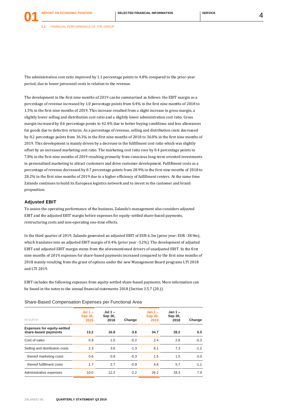**1.1** FINANCIAL PERFORMANCE OF THE GROUP

The administration cost ratio improved by 1.1 percentage points to 4.8% compared to the prior-year period, due to lower personnel costs in relation to the revenue.

The development in the first nine months of 2019 can be summarized as follows: the EBIT margin as a percentage of revenue increased by 1.0 percentage points from 0.4% in the first nine months of 2018 to 1.5% in the first nine months of 2019. This increase resulted from a slight increase in gross margin, a slightly lower selling and distribution cost ratio and a slightly lower administration cost ratio. Gross margin increased by 0.6 percentage points to 42.4% due to better buying conditions and less allowances for goods due to defective returns. As a percentage of revenue, selling and distribution costs decreased by 0.2 percentage points from 36.3% in the first nine months of 2018 to 36.0% in the first nine months of 2019. This development is mainly driven by a decrease in the fulfillment cost ratio which was slightly offset by an increased marketing cost ratio. The marketing cost ratio rose by 0.4 percentage points to 7.8% in the first nine months of 2019 resulting primarily from conscious long-term oriented investments in personalized marketing to attract customers and drive customer development. Fulfillment costs as a percentage of revenue decreased by 0.7 percentage points from 28.9% in the first nine months of 2018 to 28.2% in the first nine months of 2019 due to a higher efficiency of fulfillment centers. At the same time Zalando continues to build its European logistics network and to invest in the customer and brand proposition.

### **Adjusted EBIT**

To assess the operating performance of the business, Zalando's management also considers adjusted EBIT and the adjusted EBIT margin before expenses for equity-settled share-based payments, restructuring costs and non-operating one-time effects.

In the third quarter of 2019, Zalando generated an adjusted EBIT of EUR 6.3m (prior year: EUR -38.9m), which translates into an adjusted EBIT margin of 0.4% (prior year -3.2%). The development of adjusted EBIT and adjusted EBIT margin stems from the aforementioned drivers of unadjusted EBIT. In the first nine months of 2019, expenses for share-based payments increased compared to the first nine months of 2018 mainly resulting from the grant of options under the new Management Board programs LTI 2018 and LTI 2019.

EBIT includes the following expenses from equity-settled share-based payments. More information can be found in the notes to the annual financial statements 2018 (Section 3.5.7 (20.)).

Share-Based Compensation Expenses per Functional Area

| IN EUR M                                                   | $Jul 1 -$<br>Sep 30,<br>2019 | $Jul 1 -$<br>Sep 30,<br>2018 | Change | $Jan 1 -$<br>Sep 30,<br>2019 | Jan 1 –<br>Sep 30,<br>2018 | Change |  |
|------------------------------------------------------------|------------------------------|------------------------------|--------|------------------------------|----------------------------|--------|--|
| <b>Expenses for equity-settled</b><br>share-based payments | 13.2                         | 16.8                         | $-3.6$ | 34.7                         | 28.2                       | 6.5    |  |
| Cost of sales                                              | 0.9                          | 1.0                          | $-0.2$ | 2.4                          | 2.6                        | $-0.3$ |  |
| Selling and distribution costs                             | 2.3                          | 3.6                          | $-1.3$ | 6.1                          | 7.3                        | $-1.2$ |  |
| thereof marketing costs                                    | 0.6                          | 0.9                          | $-0.3$ | 1.5                          | 1.5                        | 0.0    |  |
| thereof fulfillment costs                                  | 1.7                          | 2.7                          | $-0.9$ | 4.6                          | 5.7                        | $-1.1$ |  |
| Administrative expenses                                    | 10.0                         | 12.2                         | $-2.2$ | 26.2                         | 18.3                       | 7.9    |  |
|                                                            |                              |                              |        |                              |                            |        |  |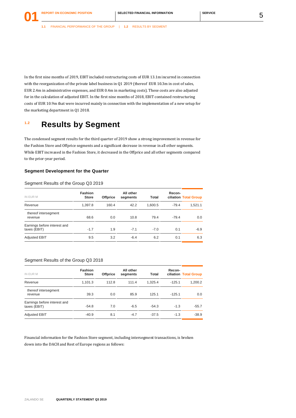**01**

**1.1** FINANCIAL PERFORMANCE OF THE GROUP | **1.2** RESULTS BY SEGMENT

In the first nine months of 2019, EBIT included restructuring costs of EUR 13.1m incurred in connection with the reorganization of the private label business in Q1 2019 (thereof EUR 10.3m in cost of sales, EUR 2.4m in administrative expenses, and EUR 0.4m in marketing costs). These costs are also adjusted for in the calculation of adjusted EBIT. In the first nine months of 2018, EBIT contained restructuring costs of EUR 10.9m that were incurred mainly in connection with the implementation of a new setup for the marketing department in Q1 2018.

### **1.2 Results by Segment**

The condensed segment results for the third quarter of 2019 show a strong improvement in revenue for the Fashion Store and Offprice segments and a significant decrease in revenue in all other segments. While EBIT increased in the Fashion Store, it decreased in the Offprice and all other segments compared to the prior-year period.

### **Segment Development for the Quarter**

### Segment Results of the Group Q3 2019

| IN EUR M                                     | <b>Fashion</b><br><b>Store</b> | <b>Offprice</b> | All other<br>segments | Total   | Recon-  | ciliation Total Group |
|----------------------------------------------|--------------------------------|-----------------|-----------------------|---------|---------|-----------------------|
| Revenue                                      | 1,397.8                        | 160.4           | 42.2                  | 1.600.5 | $-79.4$ | 1,521.1               |
| thereof intersegment<br>revenue              | 68.6                           | 0.0             | 10.8                  | 79.4    | $-79.4$ | 0.0                   |
| Earnings before interest and<br>taxes (EBIT) | $-1.7$                         | 1.9             | $-7.1$                | $-7.0$  | 0.1     | $-6.9$                |
| <b>Adjusted EBIT</b>                         | 9.5                            | 3.2             | $-6.4$                | 6.2     | 0.1     | 6.3                   |

### Segment Results of the Group Q3 2018

| IN EUR M                                     | <b>Fashion</b><br><b>Store</b> | <b>Offprice</b> | All other<br>segments | Total   | Recon-   | ciliation Total Group |
|----------------------------------------------|--------------------------------|-----------------|-----------------------|---------|----------|-----------------------|
| Revenue                                      | 1.101.3                        | 112.8           | 111.4                 | 1.325.4 | $-125.1$ | 1,200.2               |
| thereof intersegment<br>revenue              | 39.3                           | 0.0             | 85.9                  | 125.1   | $-125.1$ | 0.0                   |
| Earnings before interest and<br>taxes (EBIT) | $-54.8$                        | 7.0             | $-6.5$                | $-54.3$ | $-1.3$   | $-55.7$               |
| <b>Adjusted EBIT</b>                         | $-40.9$                        | 8.1             | $-4.7$                | $-37.5$ | $-1.3$   | $-38.9$               |

Financial information for the Fashion Store segment, including intersegment transactions, is broken down into the DACH and Rest of Europe regions as follows: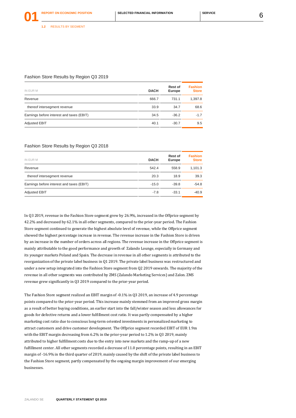### Fashion Store Results by Region Q3 2019

| IN EUR M                                  | <b>DACH</b> | <b>Rest of</b><br>Europe | <b>Fashion</b><br><b>Store</b> |
|-------------------------------------------|-------------|--------------------------|--------------------------------|
| Revenue                                   | 666.7       | 731.1                    | 1,397.8                        |
| thereof intersegment revenue              | 33.9        | 34.7                     | 68.6                           |
| Earnings before interest and taxes (EBIT) | 34.5        | $-36.2$                  | $-1.7$                         |
| <b>Adjusted EBIT</b>                      | 40.1        | $-30.7$                  | 9.5                            |

### Fashion Store Results by Region Q3 2018

| <b>DACH</b> | Rest of<br>Europe | <b>Fashion</b><br><b>Store</b> |  |
|-------------|-------------------|--------------------------------|--|
| 542.4       | 558.9             | 1,101.3                        |  |
| 20.3        | 18.9              | 39.3                           |  |
| $-15.0$     | $-39.8$           | $-54.8$                        |  |
| $-7.8$      | $-33.1$           | $-40.9$                        |  |
|             |                   |                                |  |

In Q3 2019, revenue in the Fashion Store segment grew by 26.9%, increased in the Offprice segment by 42.2% and decreased by 62.1% in all other segments, compared to the prior-year period. The Fashion Store segment continued to generate the highest absolute level of revenue, while the Offprice segment showed the highest percentage increase in revenue. The revenue increase in the Fashion Store is driven by an increase in the number of orders across all regions. The revenue increase in the Offprice segment is mainly attributable to the good performance and growth of Zalando Lounge, especially in Germany and its younger markets Poland and Spain. The decrease in revenue in all other segments is attributed to the reorganization of the private label business in Q1 2019. The private label business was restructured and under a new setup integrated into the Fashion Store segment from Q2 2019 onwards. The majority of the revenue in all other segments was contributed by ZMS (Zalando Marketing Services) and Zalon. ZMS revenue grew significantly in Q3 2019 compared to the prior-year period.

The Fashion Store segment realized an EBIT margin of -0.1% in Q3 2019, an increase of 4.9 percentage points compared to the prior-year period. This increase mainly stemmed from an improved gross margin as a result of better buying conditions, an earlier start into the fall/winter season and less allowances for goods for defective returns and a lower fulfillment cost ratio. It was partly compensated by a higher marketing cost ratio due to conscious long-term oriented investments in personalized marketing to attract customers and drive customer development. The Offprice segment recorded EBIT of EUR 1.9m with the EBIT margin decreasing from 6.2% in the prior-year period to 1.2% in Q3 2019, mainly attributed to higher fulfillment costs due to the entry into new markets and the ramp-up of a new fulfillment center. All other segments recorded a decrease of 11.0 percentage points, resulting in an EBIT margin of -16.9% in the third quarter of 2019, mainly caused by the shift of the private label business to the Fashion Store segment, partly compensated by the ongoing margin improvement of our emerging businesses.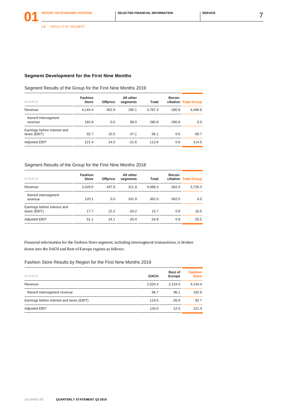### **Segment Development for the First Nine Months**

Segment Results of the Group for the First Nine Months 2019

| <b>Fashion</b> |              | All other       |          | Recon-   |                       |  |
|----------------|--------------|-----------------|----------|----------|-----------------------|--|
|                |              |                 |          |          | ciliation Total Group |  |
| 4.144.4        | 452.9        | 190.1           | 4.787.4  | $-290.8$ | 4,496.6               |  |
| 192.8          | 0.0          | 98.0            | 290.8    | $-290.8$ | 0.0                   |  |
| 92.7           | 10.5         | $-37.1$         | 66.1     | 0.6      | 66.7                  |  |
| 121.4          | 14.0         | $-21.6$         | 113.8    | 0.6      | 114.5                 |  |
|                | <b>Store</b> | <b>Offprice</b> | segments | Total    |                       |  |

### Segment Results of the Group for the First Nine Months 2018

| IN EUR M                                     | <b>Fashion</b><br><b>Store</b> | <b>Offprice</b> | All other<br>segments | <b>Total</b> | Recon-   | ciliation Total Group |
|----------------------------------------------|--------------------------------|-----------------|-----------------------|--------------|----------|-----------------------|
| Revenue                                      | 3,428.6                        | 347.8           | 311.9                 | 4.088.3      | $-362.0$ | 3,726.3               |
| thereof intersegment<br>revenue              | 120.1                          | 0.0             | 241.9                 | 362.0        | $-362.0$ | 0.0                   |
| Earnings before interest and<br>taxes (EBIT) | 17.7                           | 22.2            | $-24.2$               | 15.7         | 0.8      | 16.5                  |
| <b>Adjusted EBIT</b>                         | 51.1                           | 24.1            | $-20.4$               | 54.8         | 0.8      | 55.5                  |

Financial information for the Fashion Store segment, including intersegment transactions, is broken down into the DACH and Rest of Europe regions as follows:

### Fashion Store Results by Region for the First Nine Months 2019

| IN EUR M                                  | <b>DACH</b> | Rest of<br>Europe | <b>Fashion</b><br><b>Store</b> |
|-------------------------------------------|-------------|-------------------|--------------------------------|
| Revenue                                   | 2.020.4     | 2.124.0           | 4,144.4                        |
| thereof intersegment revenue              | 96.7        | 96.1              | 192.8                          |
| Earnings before interest and taxes (EBIT) | 119.5       | $-26.9$           | 92.7                           |
| <b>Adjusted EBIT</b>                      | 134.0       | $-12.5$           | 121.4                          |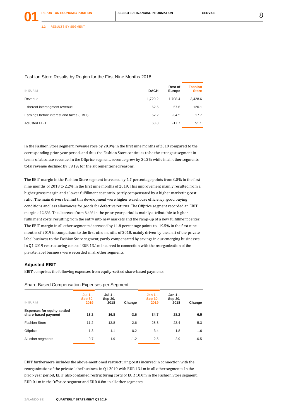| IN EUR M                                  | <b>DACH</b> | Rest of<br>Europe | <b>Fashion</b><br><b>Store</b> |
|-------------------------------------------|-------------|-------------------|--------------------------------|
| Revenue                                   | 1.720.2     | 1.708.4           | 3,428.6                        |
| thereof intersegment revenue              | 62.5        | 57.6              | 120.1                          |
| Earnings before interest and taxes (EBIT) | 52.2        | $-34.5$           | 17.7                           |
| <b>Adiusted EBIT</b>                      | 68.8        | $-17.7$           | 51.1                           |

#### Fashion Store Results by Region for the First Nine Months 2018

In the Fashion Store segment, revenue rose by 20.9% in the first nine months of 2019 compared to the corresponding prior-year period, and thus the Fashion Store continues to be the strongest segment in terms of absolute revenue. In the Offprice segment, revenue grew by 30.2% while in all other segments total revenue declined by 39.1% for the aforementioned reasons.

The EBIT margin in the Fashion Store segment increased by 1.7 percentage points from 0.5% in the first nine months of 2018 to 2.2% in the first nine months of 2019. This improvement mainly resulted from a higher gross margin and a lower fulfillment cost ratio, partly compensated by a higher marketing cost ratio. The main drivers behind this development were higher warehouse efficiency, good buying conditions and less allowances for goods for defective returns. The Offprice segment recorded an EBIT margin of 2.3%. The decrease from 6.4% in the prior-year period is mainly attributable to higher fulfillment costs, resulting from the entry into new markets and the ramp-up of a new fulfillment center. The EBIT margin in all other segments decreased by 11.8 percentage points to -19.5% in the first nine months of 2019 in comparison to the first nine months of 2018, mainly driven by the shift of the private label business to the Fashion Store segment, partly compensated by savings in our emerging businesses. In Q1 2019 restructuring costs of EUR 13.1m incurred in connection with the reorganization of the private label business were recorded in all other segments.

#### **Adjusted EBIT**

EBIT comprises the following expenses from equity-settled share-based payments:

|                                                           | Jul $1 -$<br>Sep 30, | Jul $1 -$<br>Sep 30, |        | Jan $1 -$<br>Sep 30, | Jan $1 -$<br>Sep 30, |        |
|-----------------------------------------------------------|----------------------|----------------------|--------|----------------------|----------------------|--------|
| IN EUR M                                                  | 2019                 | 2018                 | Change | 2019                 | 2018                 | Change |
| <b>Expenses for equity-settled</b><br>share-based payment | 13.2                 | 16.8                 | $-3.6$ | 34.7                 | 28.2                 | 6.5    |
| <b>Fashion Store</b>                                      | 11.2                 | 13.8                 | $-2.6$ | 28.8                 | 23.4                 | 5.3    |
| Offprice                                                  | 1.3                  | 1.1                  | 0.2    | 3.4                  | 1.8                  | 1.6    |
| All other segments                                        | 0.7                  | 1.9                  | $-1.2$ | 2.5                  | 2.9                  | $-0.5$ |

Share-Based Compensation Expenses per Segment

EBIT furthermore includes the above-mentioned restructuring costs incurred in connection with the reorganization of the private-label business in Q1 2019 with EUR 13.1m in all other segments. In the prior-year period, EBIT also contained restructuring costs of EUR 10.0m in the Fashion Store segment, EUR 0.1m in the Offprice segment and EUR 0.8m in all other segments.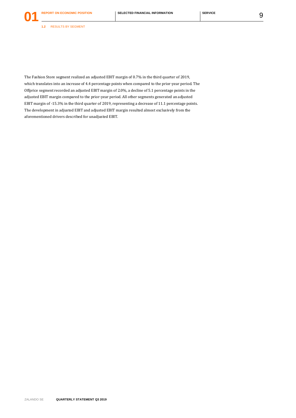**1.2** RESULTS BY SEGMENT

The Fashion Store segment realized an adjusted EBIT margin of 0.7% in the third quarter of 2019, which translates into an increase of 4.4 percentage points when compared to the prior-year period. The Offprice segment recorded an adjusted EBIT margin of 2.0%, a decline of 5.1 percentage points in the adjusted EBIT margin compared to the prior-year period. All other segments generated an adjusted EBIT margin of -15.3% in the third quarter of 2019, representing a decrease of 11.1 percentage points. The development in adjusted EBIT and adjusted EBIT margin resulted almost exclusively from the aforementioned drivers described for unadjusted EBIT.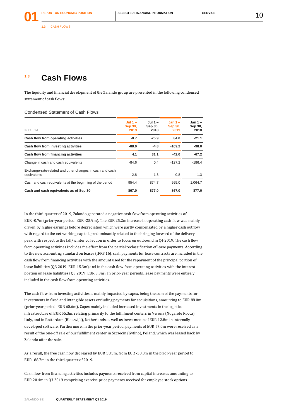### **1.3 Cash Flows**

The liquidity and financial development of the Zalando group are presented in the following condensed statement of cash flows:

Condensed Statement of Cash Flows

| IN EUR M                                                                | $Jul$ 1 $-$<br>Sep 30,<br>2019 | $Jul$ 1 $-$<br>Sep 30,<br>2018 | $Jan 1 -$<br>Sep 30,<br>2019 | $Jan 1 -$<br>Sep 30,<br>2018 |  |
|-------------------------------------------------------------------------|--------------------------------|--------------------------------|------------------------------|------------------------------|--|
| Cash flow from operating activities                                     | -0.7                           | $-25.9$                        | 84.0                         | $-21.1$                      |  |
| Cash flow from investing activities                                     | -88.0                          | $-4.8$                         | $-169.2$                     | $-98.0$                      |  |
| Cash flow from financing activities                                     | 4.1                            | 31.1                           | $-42.0$                      | $-67.2$                      |  |
| Change in cash and cash equivalents                                     | $-84.6$                        | 0.4                            | $-127.2$                     | $-186.4$                     |  |
| Exchange-rate-related and other changes in cash and cash<br>equivalents | $-2.8$                         | 1.8                            | $-0.8$                       | $-1.3$                       |  |
| Cash and cash equivalents at the beginning of the period                | 954.4                          | 874.7                          | 995.0                        | 1.064.7                      |  |
| Cash and cash equivalents as of Sep 30                                  | 867.0                          | 877.0                          | 867.0                        | 877.0                        |  |
|                                                                         |                                |                                |                              |                              |  |

In the third quarter of 2019, Zalando generated a negative cash flow from operating activities of EUR -0.7m (prior-year period: EUR -25.9m). The EUR 25.2m increase in operating cash flow was mainly driven by higher earnings before depreciation which were partly compensated by a higher cash outflow with regard to the net working capital, predominantly related to the bringing forward of the delivery peak with respect to the fall/winter collection in order to focus on outbound in Q4 2019. The cash flow from operating activities includes the effect from the partial reclassification of lease payments. According to the new accounting standard on leases (IFRS 16), cash payments for lease contracts are included in the cash flow from financing activities with the amount used for the repayment of the principal portion of lease liabilities (Q3 2019: EUR 15.3m) and in the cash flow from operating activities with the interest portion on lease liabilities (Q3 2019: EUR 3.3m). In prior-year periods, lease payments were entirely included in the cash flow from operating activities.

The cash flow from investing activities is mainly impacted by capex, being the sum of the payments for investments in fixed and intangible assets excluding payments for acquisitions, amounting to EUR 88.0m (prior-year period: EUR 60.6m). Capex mainly included increased investments in the logistics infrastructure of EUR 55.3m, relating primarily to the fulfillment centers in Verona (Nogarole Rocca), Italy, and in Rotterdam (Bleiswijk), Netherlands as well as investments of EUR 12.8m in internally developed software. Furthermore, in the prior-year period, payments of EUR 57.0m were received as a result of the one-off sale of our fulfillment center in Szczecin (Gyfino), Poland, which was leased back by Zalando after the sale.

As a result, the free cash flow decreased by EUR 58.5m, from EUR -30.3m in the prior-year period to EUR -88.7m in the third quarter of 2019.

Cash flow from financing activities includes payments received from capital increases amounting to EUR 20.4m in Q3 2019 comprising exercise price payments received for employee stock options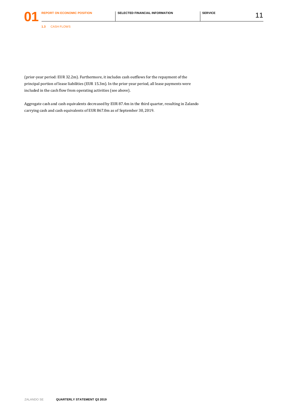(prior-year period: EUR 32.2m). Furthermore, it includes cash outflows for the repayment of the principal portion of lease liabilities (EUR 15.3m). In the prior-year period, all lease payments were included in the cash flow from operating activities (see above).

Aggregate cash and cash equivalents decreased by EUR 87.4m in the third quarter, resulting in Zalando carrying cash and cash equivalents of EUR 867.0m as of September 30, 2019.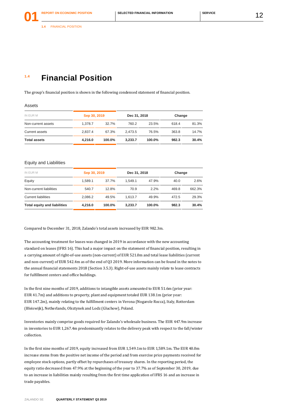**1.4** FINANCIAL POSITION

### **1.4 Financial Position**

The group's financial position is shown in the following condensed statement of financial position.

#### Assets

| IN EUR M            |         | Sep 30, 2019 |         | Dec 31, 2018 |       | Change |  |
|---------------------|---------|--------------|---------|--------------|-------|--------|--|
| Non-current assets  | 1.378.7 | 32.7%        | 760.2   | 23.5%        | 618.4 | 81.3%  |  |
| Current assets      | 2.837.4 | 67.3%        | 2.473.5 | 76.5%        | 363.8 | 14.7%  |  |
| <b>Total assets</b> | 4.216.0 | 100.0%       | 3.233.7 | 100.0%       | 982.3 | 30.4%  |  |

#### Equity and Liabilities

| IN EUR M                            | Sep 30, 2019 |        | Dec 31, 2018 |        | Change |        |
|-------------------------------------|--------------|--------|--------------|--------|--------|--------|
| Equity                              | 1.589.1      | 37.7%  | 1.549.1      | 47.9%  | 40.0   | 2.6%   |
| Non-current liabilities             | 540.7        | 12.8%  | 70.9         | 2.2%   | 469.8  | 662.3% |
| <b>Current liabilities</b>          | 2.086.2      | 49.5%  | 1.613.7      | 49.9%  | 472.5  | 29.3%  |
| <b>Total equity and liabilities</b> | 4.216.0      | 100.0% | 3.233.7      | 100.0% | 982.3  | 30.4%  |

Compared to December 31, 2018, Zalando's total assets increased by EUR 982.3m.

The accounting treatment for leases was changed in 2019 in accordance with the new accounting standard on leases (IFRS 16). This had a major impact on the statement of financial position, resulting in a carrying amount of right-of-use assets (non-current) of EUR 521.0m and total lease liabilities (current and non-current) of EUR 542.4m as of the end of Q3 2019. More information can be found in the notes to the annual financial statements 2018 (Section 3.5.3). Right-of-use assets mainly relate to lease contracts for fulfillment centers and office buildings.

In the first nine months of 2019, additions to intangible assets amounted to EUR 51.6m (prior year: EUR 41.7m) and additions to property, plant and equipment totaled EUR 138.1m (prior year: EUR 147.2m), mainly relating to the fulfillment centers in Verona (Nogarole Rocca), Italy, Rotterdam (Bleiswijk), Netherlands, Olsztynek and Lodz (Gluchow), Poland.

Inventories mainly comprise goods required for Zalando's wholesale business. The EUR 447.9m increase in inventories to EUR 1,267.4m predominantly relates to the delivery peak with respect to the fall/winter collection.

In the first nine months of 2019, equity increased from EUR 1,549.1m to EUR 1,589.1m. The EUR 40.0m increase stems from the positive net income of the period and from exercise price payments received for employee stock options, partly offset by repurchases of treasury shares. In the reporting period, the equity ratio decreased from 47.9% at the beginning of the year to 37.7% as of September 30, 2019, due to an increase in liabilities mainly resulting from the first time application of IFRS 16 and an increase in trade payables.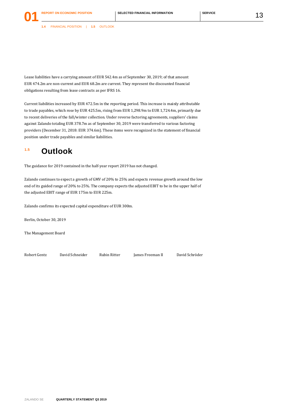**1.4** FINANCIAL POSITION | **1.5** OUTLOOK

Lease liabilities have a carrying amount of EUR 542.4m as of September 30, 2019; of that amount EUR 474.2m are non-current and EUR 68.2m are current. They represent the discounted financial obligations resulting from lease contracts as per IFRS 16.

Current liabilities increased by EUR 472.5m in the reporting period. This increase is mainly attributable to trade payables, which rose by EUR 425.5m, rising from EUR 1,298.9m to EUR 1,724.4m, primarily due to recent deliveries of the fall/winter collection. Under reverse factoring agreements, suppliers' claims against Zalando totaling EUR 378.7m as of September 30, 2019 were transferred to various factoring providers (December 31, 2018: EUR 374.6m). These items were recognized in the statement of financial position under trade payables and similar liabilities.

### **1.5 Outlook**

The guidance for 2019 contained in the half-year report 2019 has not changed.

Zalando continues to expect a growth of GMV of 20% to 25% and expects revenue growth around the low end of its guided range of 20% to 25%. The company expects the adjusted EBIT to be in the upper half of the adjusted EBIT range of EUR 175m to EUR 225m.

Zalando confirms its expected capital expenditure of EUR 300m.

Berlin, October 30, 2019

The Management Board

Robert Gentz David Schneider Rubin Ritter James Freeman II David Schröder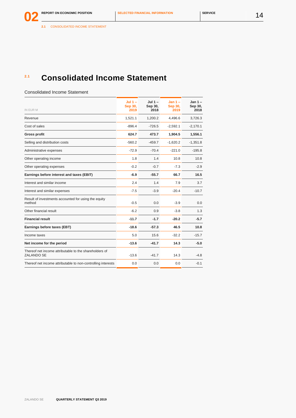**2.1** CONSOLIDATED INCOME STATEMENT

# **2.1 Consolidated Income Statement**

### Consolidated Income Statement

| IN EUR M                                                                    | Jul $1 -$<br><b>Sep 30,</b><br>2019 | Jul $1 -$<br>Sep 30,<br>2018 | Jan $1 -$<br><b>Sep 30,</b><br>2019 | Jan 1 –<br>Sep 30,<br>2018 |
|-----------------------------------------------------------------------------|-------------------------------------|------------------------------|-------------------------------------|----------------------------|
| Revenue                                                                     | 1,521.1                             | 1,200.2                      | 4,496.6                             | 3,726.3                    |
| Cost of sales                                                               | $-896.4$                            | $-726.5$                     | $-2,592.1$                          | $-2,170.1$                 |
| <b>Gross profit</b>                                                         | 624.7                               | 473.7                        | 1,904.5                             | 1,556.1                    |
| Selling and distribution costs                                              | $-560.2$                            | $-459.7$                     | $-1,620.2$                          | $-1,351.8$                 |
| Administrative expenses                                                     | $-72.9$                             | $-70.4$                      | $-221.0$                            | $-195.8$                   |
| Other operating income                                                      | 1.8                                 | 1.4                          | 10.8                                | 10.8                       |
| Other operating expenses                                                    | $-0.2$                              | $-0.7$                       | $-7.3$                              | $-2.9$                     |
| Earnings before interest and taxes (EBIT)                                   | $-6.9$                              | $-55.7$                      | 66.7                                | 16.5                       |
| Interest and similar income                                                 | 2.4                                 | 1.4                          | 7.9                                 | 3.7                        |
| Interest and similar expenses                                               | $-7.5$                              | $-3.9$                       | $-20.4$                             | $-10.7$                    |
| Result of investments accounted for using the equity<br>method              | $-0.5$                              | 0.0                          | $-3.9$                              | 0.0                        |
| Other financial result                                                      | $-6.2$                              | 0.9                          | $-3.8$                              | 1.3                        |
| <b>Financial result</b>                                                     | $-11.7$                             | $-1.7$                       | $-20.2$                             | $-5.7$                     |
| Earnings before taxes (EBT)                                                 | $-18.6$                             | $-57.3$                      | 46.5                                | 10.8                       |
| Income taxes                                                                | 5.0                                 | 15.6                         | $-32.2$                             | $-15.7$                    |
| Net income for the period                                                   | $-13.6$                             | $-41.7$                      | 14.3                                | $-5.0$                     |
| Thereof net income attributable to the shareholders of<br><b>ZALANDO SE</b> | $-13.6$                             | $-41.7$                      | 14.3                                | $-4.8$                     |
| Thereof net income attributable to non-controlling interests                | 0.0                                 | 0.0                          | 0.0                                 | $-0.1$                     |
|                                                                             |                                     |                              |                                     |                            |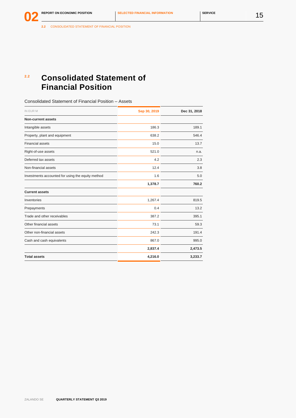**2.2** CONSOLIDATED STATEMENT OF FINANCIAL POSITION

### **2.2 Consolidated Statement of Financial Position**

### Consolidated Statement of Financial Position – Assets

| IN EUR M                                          | Sep 30, 2019 | Dec 31, 2018 |  |
|---------------------------------------------------|--------------|--------------|--|
| <b>Non-current assets</b>                         |              |              |  |
| Intangible assets                                 | 186.3        | 189.1        |  |
| Property, plant and equipment                     | 638.2        | 546.4        |  |
| <b>Financial assets</b>                           | 15.0         | 13.7         |  |
| Right-of-use assets                               | 521.0        | n.a.         |  |
| Deferred tax assets                               | 4.2          | 2.3          |  |
| Non-financial assets                              | 12.4         | 3.8          |  |
| Investments accounted for using the equity method | 1.6          | 5.0          |  |
|                                                   | 1,378.7      | 760.2        |  |
| <b>Current assets</b>                             |              |              |  |
| Inventories                                       | 1,267.4      | 819.5        |  |
| Prepayments                                       | 0.4          | 13.2         |  |
| Trade and other receivables                       | 387.2        | 395.1        |  |
| Other financial assets                            | 73.1         | 59.3         |  |
| Other non-financial assets                        | 242.3        | 191.4        |  |
| Cash and cash equivalents                         | 867.0        | 995.0        |  |
|                                                   | 2,837.4      | 2,473.5      |  |
| <b>Total assets</b>                               | 4,216.0      | 3,233.7      |  |

**02**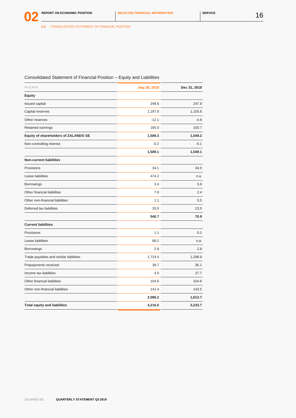### Consolidated Statement of Financial Position – Equity and Liabilities

| IN EUR M                               | Sep 30, 2019 | Dec 31, 2018 |
|----------------------------------------|--------------|--------------|
| <b>Equity</b>                          |              |              |
| Issued capital                         | 248.6        | 247.9        |
| Capital reserves                       | 1,187.8      | 1,155.6      |
| Other reserves                         | $-12.1$      | $-4.9$       |
| Retained earnings                      | 165.0        | 150.7        |
| Equity of shareholders of ZALANDO SE   | 1,589.3      | 1,549.2      |
| Non-controlling interest               | $-0.2$       | $-0.1$       |
|                                        | 1,589.1      | 1,549.1      |
| <b>Non-current liabilities</b>         |              |              |
| Provisions                             | 34.1         | 34.0         |
| Lease liabilities                      | 474.2        | n.a.         |
| <b>Borrowings</b>                      | 3.4          | 5.6          |
| Other financial liabilities            | 7.8          | 2.4          |
| Other non-financial liabilities        | 1.1          | 5.5          |
| Deferred tax liabilities               | 20.0         | 23.5         |
|                                        | 540.7        | 70.9         |
| <b>Current liabilities</b>             |              |              |
| Provisions                             | 1.1          | 0.1          |
| Lease liabilities                      | 68.2         | n.a.         |
| <b>Borrowings</b>                      | 2.8          | 2.8          |
| Trade payables and similar liabilities | 1,724.4      | 1,298.9      |
| Prepayments received                   | 39.7         | 36.1         |
| Income tax liabilities                 | 4.0          | 27.7         |
| Other financial liabilities            | 104.6        | 104.6        |
| Other non-financial liabilities        | 141.4        | 143.5        |
|                                        | 2,086.2      | 1,613.7      |
| <b>Total equity and liabilities</b>    | 4,216.0      | 3,233.7      |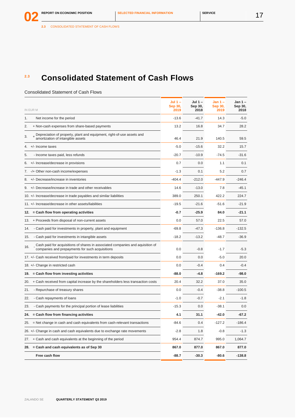# **2.3 Consolidated Statement of Cash Flows**

### Consolidated Statement of Cash Flows

| IN EUR M                                                                                                                                 | Jul $1 -$<br>Sep 30,<br>2019 | Jul $1 -$<br>Sep 30,<br>2018 | $Jan 1 -$<br>Sep 30,<br>2019 | Jan $1-$<br>Sep 30,<br>2018 |
|------------------------------------------------------------------------------------------------------------------------------------------|------------------------------|------------------------------|------------------------------|-----------------------------|
| 1.<br>Net income for the period                                                                                                          | $-13.6$                      | $-41.7$                      | 14.3                         | $-5.0$                      |
| 2.<br>+ Non-cash expenses from share-based payments                                                                                      | 13.2                         | 16.8                         | 34.7                         | 28.2                        |
| + Depreciation of property, plant and equipment, right-of-use assets and $+$ amortization of intangible assets<br>3.                     | 46.4                         | 21.9                         | 140.5                        | 59.5                        |
| +/- Income taxes<br>4.                                                                                                                   | $-5.0$                       | $-15.6$                      | 32.2                         | 15.7                        |
| - Income taxes paid, less refunds<br>5.                                                                                                  | $-20.7$                      | $-10.9$                      | $-74.5$                      | $-31.6$                     |
| +/- Increase/decrease in provisions<br>6.                                                                                                | 0.7                          | 0.0                          | 1.1                          | 0.1                         |
| -/+ Other non-cash income/expenses<br>7.                                                                                                 | $-1.3$                       | 0.1                          | 5.2                          | 0.7                         |
| +/- Decrease/increase in inventories<br>8.                                                                                               | $-404.4$                     | $-212.0$                     | $-447.9$                     | $-246.4$                    |
| +/- Decrease/increase in trade and other receivables<br>9.                                                                               | 14.6                         | $-13.0$                      | 7.8                          | $-45.1$                     |
| 10. +/- Increase/decrease in trade payables and similar liabilities                                                                      | 389.0                        | 250.1                        | 422.2                        | 224.7                       |
| 11. +/- Increase/decrease in other assets/liabilities                                                                                    | $-19.5$                      | $-21.6$                      | $-51.6$                      | $-21.9$                     |
| = Cash flow from operating activities<br>12.                                                                                             | $-0.7$                       | $-25.9$                      | 84.0                         | $-21.1$                     |
| + Proceeds from disposal of non-current assets<br>13.                                                                                    | 0.0                          | 57.0                         | 22.5                         | 57.0                        |
| - Cash paid for investments in property, plant and equipment<br>14.                                                                      | $-69.8$                      | $-47.3$                      | $-136.8$                     | $-132.5$                    |
| - Cash paid for investments in intangible assets<br>15.                                                                                  | $-18.2$                      | $-13.2$                      | $-48.7$                      | $-36.9$                     |
| Cash paid for acquisitions of shares in associated companies and aquisition of<br>16.<br>companies and prepayments for such acquisitions | 0.0                          | $-0.8$                       | $-1.7$                       | $-5.3$                      |
| 17. +/- Cash received from/paid for investments in term deposits                                                                         | 0.0                          | 0.0                          | $-5.0$                       | 20.0                        |
| 18. +/- Change in restricted cash                                                                                                        | 0.0                          | $-0.4$                       | 0.4                          | $-0.4$                      |
| = Cash flow from investing activities<br>19.                                                                                             | $-88.0$                      | $-4.8$                       | $-169.2$                     | $-98.0$                     |
| + Cash received from capital increase by the shareholders less transaction costs<br>20.                                                  | 20.4                         | 32.2                         | 37.0                         | 35.0                        |
| - Repurchase of treasury shares<br>21.                                                                                                   | 0.0                          | $-0.4$                       | $-38.8$                      | $-100.5$                    |
| - Cash repayments of loans<br>22.                                                                                                        | $-1.0$                       | $-0.7$                       | $-2.1$                       | $-1.8$                      |
| - Cash payments for the principal portion of lease liabilities<br>23.                                                                    | $-15.3$                      | 0.0                          | $-38.1$                      | 0.0                         |
| = Cash flow from financing activities<br>24.                                                                                             | 4.1                          | 31.1                         | $-42.0$                      | $-67.2$                     |
| 25.<br>$=$ Net change in cash and cash equivalents from cash-relevant transactions                                                       | -84.6                        | 0.4                          | $-127.2$                     | $-186.4$                    |
| 26. +/- Change in cash and cash equivalents due to exchange rate movements                                                               | $-2.8$                       | 1.8                          | $-0.8$                       | $-1.3$                      |
| + Cash and cash equivalents at the beginning of the period<br>27.                                                                        | 954.4                        | 874.7                        | 995.0                        | 1,064.7                     |
| = Cash and cash equivalents as of Sep 30<br>28.                                                                                          | 867.0                        | 877.0                        | 867.0                        | 877.0                       |
| Free cash flow                                                                                                                           | $-88.7$                      | $-30.3$                      | -80.6                        | $-138.8$                    |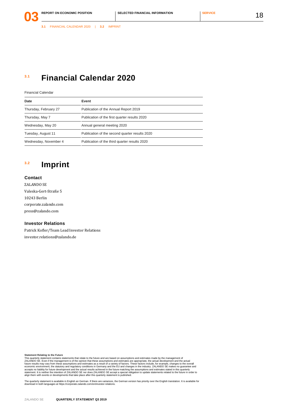**3.1** FINANCIAL CALENDAR 2020 | **[3.2](#page-18-0)** [IMPRINT](#page-18-0)

### **3.1 Financial Calendar 2020**

#### Financial Calendar

| Date                  | Event                                          |
|-----------------------|------------------------------------------------|
| Thursday, February 27 | Publication of the Annual Report 2019          |
| Thursday, May 7       | Publication of the first quarter results 2020  |
| Wednesday, May 20     | Annual general meeting 2020                    |
| Tuesday, August 11    | Publication of the second quarter results 2020 |
| Wednesday, November 4 | Publication of the third quarter results 2020  |

### <span id="page-18-0"></span>**3.2 Imprint**

### **Contact**

ZALANDO SE Valeska-Gert-Straße 5 10243 Berlin [corporate.zalando.com](https://www.corporate.zalando.com/) [press@zalando.com](mailto:press@zalando.com)

### **Investor Relations**

Patrick Kofler/Team Lead Investor Relations [investor.relations@zalando.de](mailto:investor.relations@zalando.de)

Statement Relating to the Future<br>This quarterly statement conditions that relate to the future and are based on assumptions and estimates made by the management of<br>This quarterly statement conditions statements to the opin

The quarterly statement is available in English an German. If there are variances, the German version has priority over the English translation. It is available for<br>download in both languages at https://corporate.zalando.c